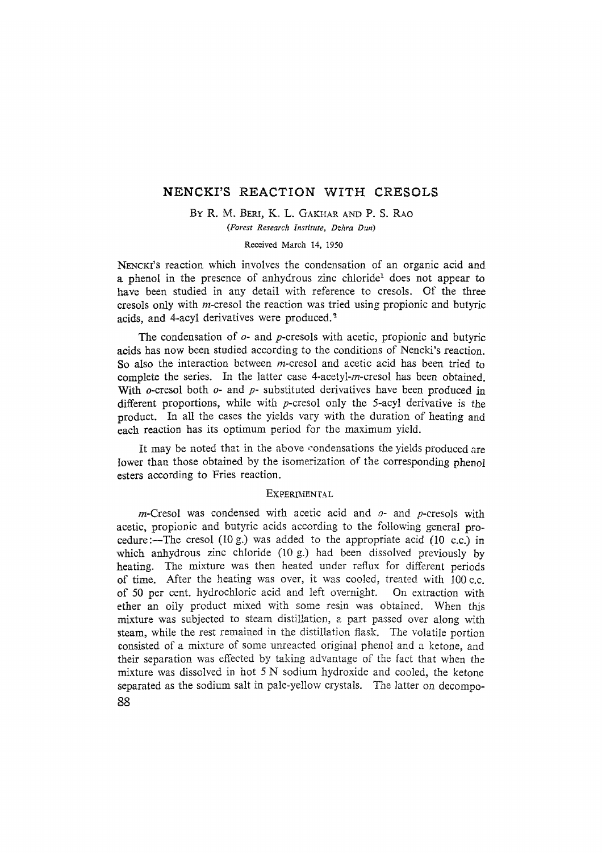# **NENCKI'S REACTION WITH CRESOLS**

BY R. M. BERI, K. L. GAKHAR AND P. S. RAO

*(Forest Research Institute, Dehra Dun)* 

Received March 14, 1950

NENCKI'S reaction which involves the condensation of an organic acid and a phenol in the presence of anhydrous zinc chloride<sup>1</sup> does not appear to have been studied in any detail with reference to cresols. Of the three cresols only with m-cresol the reaction was tried using propionic and butyric acids, and 4-acyl derivatives were produced.<sup>2</sup>

The condensation of  $o$ - and p-cresols with acetic, propionic and butyric acids has now been studied according to the conditions of Nencki's reaction. So also the interaction between *m*-cresol and acetic acid has been tried to complete the series. In the latter case 4-acetyl-m-cresol has been obtained. With  $\rho$ -cresol both  $\rho$ - and  $p$ - substituted derivatives have been produced in different proportions, while with p-cresol only the 5-acyl derivative is the product. In all the cases the yields vary with the duration of heating and each reaction has its optimum period for the maximum yield.

It may be noted that in the above condensations the yields produced are lower than those obtained by the isomerization of the corresponding phenol esters according to Fries reaction.

### **EXPERIMENTAL**

 $m$ -Cresol was condensed with acetic acid and  $o$ - and  $p$ -cresols with acetic, propionic and butyric acids according to the following general procedure:--The cresol (10 g.) was added to the appropriate acid (10 c.c.) in which anhydrous zinc chloride (10 g.) had been dissolved previously by heating. The mixture was then heated under reflux for different periods of time. After the heating was over, it was cooled, treated with I00 c.c. of 50 per cent. hydrochloric acid and left overnight. On extraction with ether an oily product mixed with some resin was obtained. When this mixture was subjected to steam distillation, a part passed over along with steam, while the rest remained in the distillation flask. The volatile portion consisted of a mixture of some unreacted original phenol and a ketone, and their separation was effected by taking advantage of the fact that when the mixture was dissolved in hot 5 N sodium hydroxide and cooled, the ketone separated as the sodium salt in pale-yellow crystals. The latter on decompo-**88**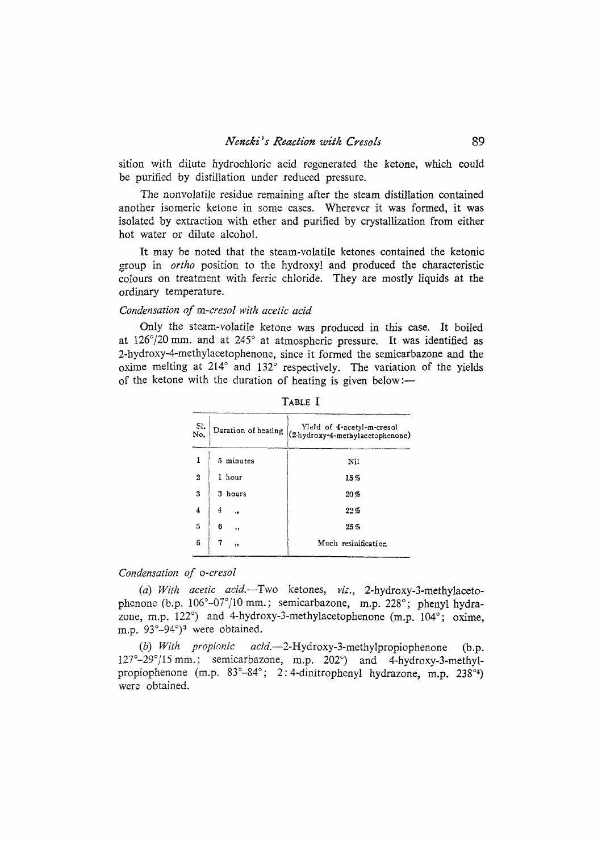sition with dilute hydrochloric acid regenerated the ketone, which could be purified by distillation under reduced pressure.

The nonvolatile residue remaining after the steam distillation contained another isomeric ketone in some cases. Wherever it was formed, it was isolated by extraction with ether and purified by crystallization from either hot water or dilute alcohol.

It may be noted that the steam-volatile ketones contained the ketonic goup in *ortho* position to the hydroxyl and produced the characteristic colours on treatment with ferric chloride. They are mostly liquids at the ordinary temperature.

## *Condensation of m-cresol with acetic acid*

Only the steam-volatile ketone was produced in this case. It boiled at 126°/20 mm. and at 245° at atmospheric pressure. It was identified as 2-hydroxy-4-methylacetophenone, since it formed the semicarbazone and the oxime melting at 214° and 132° respectively. The variation of the yields of the ketone with the duration of heating is given below:-

| SI.<br>No.     | Duration of heating | Yield of 4-acetyl-m-cresol<br>(2 hydroxy-4-methylacetophenone) |
|----------------|---------------------|----------------------------------------------------------------|
| 1              | 5 minutes           | Nil                                                            |
| $\overline{2}$ | 1 hour              | 15%                                                            |
| 3              | 3.<br>hours         | 20%                                                            |
| 4              | 4<br>18             | 22%                                                            |
| 5              | 6<br>5.9            | 25%                                                            |
| 6              | 7<br>, ,            | Much resinification                                            |

TABLE I

## *Condensation of o-cresol*

*(a) With acetic acid.--Two* ketones, *viz.,* 2-hydroxy-3-methylacetophenone (b.p. 106°-07°/10 mm.; semicarbazone, m.p. 228°; phenyl hydrazone, m.p.  $122^{\circ}$ ) and 4-hydroxy-3-methylacetophenone (m.p.  $104^{\circ}$ ; oxime, m.p. 93°-94°)<sup>3</sup> were obtained.

*(b) With propionic acid.--2-Hydroxy-3-methylpropiophenone* (b.p. 127°-29°/15 mm.; semicarbazone, m.p. 202°) and 4-hydroxy-3-methylpropiophenone (m.p.  $83^{\circ}-84^{\circ}$ ; 2: 4-dinitrophenyl hydrazone, m.p.  $238^{\circ}$ 4) were obtained.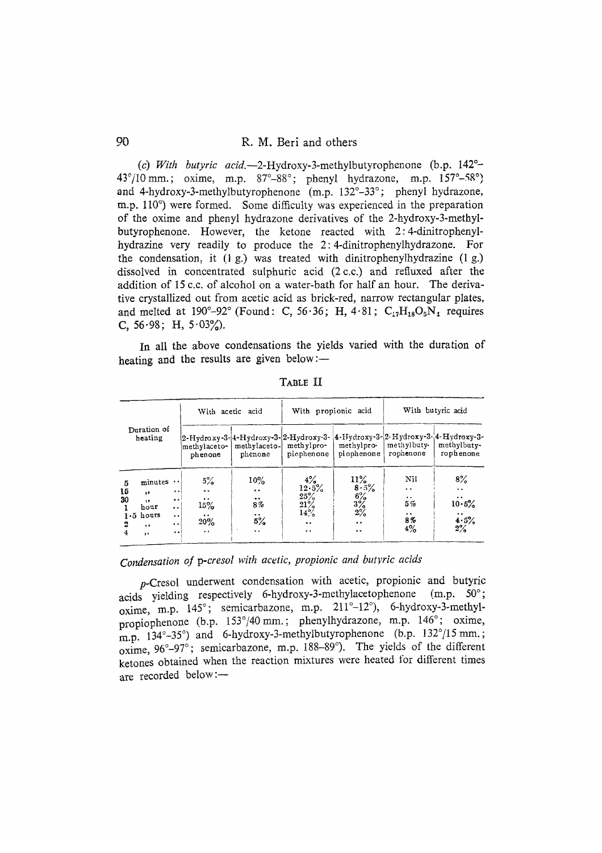90 R. M. Beri and others

*(c) With butyric acid.--2-Hydroxy-3-methylbutyrophenone* (b.p. 142 °- 43°/10 mm.; oxime, m.p.  $87^\circ - 88^\circ$ ; phenyl hydrazone, m.p.  $157^\circ - 58^\circ$ ) and 4-hydroxy-3-methylbutyrophenone (m.p. 132°-33°; phenyl hydrazone, m.p. 110<sup>°</sup>) were formed. Some difficulty was experienced in the preparation of the oxime and phenyl hydrazone derivatives of the 2-hydroxy-3-methylbutyrophenone. However, the ketone reacted with 2:4-dinitrophenylhydrazine very readily to produce the 2: 4-dinitrophenylhydrazone. For the condensation, it (1 g.) was treated with dinitrophenylhydrazine (1 g.) dissolved in concentrated sulphuric acid (2c.c.) and refluxed after the addition of 15 c.c. of alcohol on a water-bath for half an hour. The derivative crystallized out from acetic acid as brick-red, narrow rectangular plates, and melted at 190°-92° (Found: C, 56.36; H, 4.81; C<sub>17</sub>H<sub>18</sub>O<sub>5</sub>N<sub>4</sub> requires C,  $56.98$ ; H,  $5.03\%$ ).

In all the above condensations the yields varied with the duration of heating and the results are given below: $-$ 

| Duration of<br>heating                                                                         |                                                                                              | With acetic acid                                                                  |                                                                                    | With propionic acid                                                                                         |                                                                                 | With butyric acid                                                                             |                                                                                                                                 |
|------------------------------------------------------------------------------------------------|----------------------------------------------------------------------------------------------|-----------------------------------------------------------------------------------|------------------------------------------------------------------------------------|-------------------------------------------------------------------------------------------------------------|---------------------------------------------------------------------------------|-----------------------------------------------------------------------------------------------|---------------------------------------------------------------------------------------------------------------------------------|
|                                                                                                |                                                                                              | methvlaceto-<br>phenone                                                           | methylaceto-<br>phenone                                                            | 2-Hydroxy-3-{4-Hydroxy-3-{2-Hydroxy-3- {4-Hydroxy-3-{2-Hydroxy-3-{4-Hydroxy-3-}<br>methylpro-<br>piophenone | methylpro-<br>piophenone                                                        | methylbuty-<br>rophenone                                                                      | methylbuty-<br>rophenone                                                                                                        |
| 5<br>15<br>,,<br>30<br>32<br>hour<br>$1.5$ hours<br>2<br>$\ddot{\bullet}$<br>4<br>$\mathbf{r}$ | $minutes \cdot$<br>$\bullet$<br>$\bullet$<br>$\bullet$<br>$^{\circ}$<br>$\cdot$<br>$\bullet$ | 5%<br>$\bullet$<br>$\cdots$<br>$15\%$<br>$\ddot{\phantom{0}}$<br>20%<br>$\cdot$ . | $10\%$<br>$\ddot{\bullet}$<br>$\bullet\bullet$<br>8%<br>5%<br>$\ddot{\phantom{a}}$ | $\frac{4\%}{12 \cdot 5\%}$<br>25%<br>$\frac{21\%}{14\%}$<br>$\ddot{\phantom{a}}$<br>$\ddot{\phantom{a}}$    | 11%<br>8.5%<br>$\frac{6\%}{3\%}$<br>$\frac{3\%}{2\%}$<br>$\bullet$<br>$\bullet$ | Nil<br>$\ddot{\phantom{0}}$<br>$\ddot{\phantom{0}}$<br>5%<br>$\ddot{\phantom{a}}$<br>8%<br>4% | 8%<br>$\ddot{\phantom{0}}$<br>$\bullet\hspace{0.4mm}$<br>$\bullet\hspace{0.4mm}$<br>10.5%<br>$\bullet$<br>$\frac{4 \cdot 5}{2}$ |

TABLE II

*Condensation of p-cresol with acetic, propionic and butyric acids* 

p-Cresol underwent condensation with acetic, propionic and butyric acids yielding respectively 6-hydroxy-3-methylacetophenone (m.p. 50°; oxime, m.p. 145°; semicarbazone, m.p. 211°-12°), 6-hydroxy-3-methylpropiophenone (b.p. 153°/40 mm.; phenylhydrazone, m.p. 146°; oxime, m.p.  $134^\circ - 35^\circ$ ) and 6-hydroxy-3-methylbutyrophenone (b.p.  $132^\circ/15$  mm.; oxime, 96°-97°; semicarbazone, m.p. 188-89°). The yields of the different ketones obtained when the reaction mixtures were heated for different times are recorded below:-